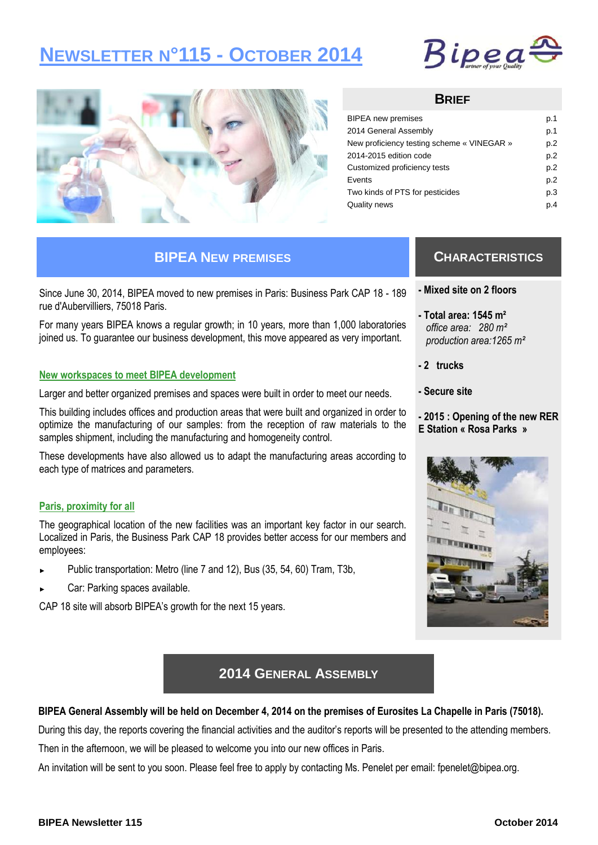# **NEWSLETTER N°115 - OCTOBER 2014**





### **BRIEF**

| <b>BIPEA</b> new premises                  | p.1 |
|--------------------------------------------|-----|
| 2014 General Assembly                      | p.1 |
| New proficiency testing scheme « VINEGAR » | p.2 |
| 2014-2015 edition code                     | p.2 |
| Customized proficiency tests               | p.2 |
| Events                                     | p.2 |
| Two kinds of PTS for pesticides            | p.3 |
| Quality news                               | p.4 |

### **BIPEA NEW PREMISES**

Since June 30, 2014, BIPEA moved to new premises in Paris: Business Park CAP 18 - 189 rue d'Aubervilliers, 75018 Paris.

For many years BIPEA knows a regular growth; in 10 years, more than 1,000 laboratories joined us. To guarantee our business development, this move appeared as very important.

#### **New workspaces to meet BIPEA development**

Larger and better organized premises and spaces were built in order to meet our needs.

This building includes offices and production areas that were built and organized in order to optimize the manufacturing of our samples: from the reception of raw materials to the samples shipment, including the manufacturing and homogeneity control.

These developments have also allowed us to adapt the manufacturing areas according to each type of matrices and parameters.

#### **Paris, proximity for all**

The geographical location of the new facilities was an important key factor in our search. Localized in Paris, the Business Park CAP 18 provides better access for our members and employees:

- Public transportation: Metro (line 7 and 12), Bus (35, 54, 60) Tram, T3b,
- Car: Parking spaces available.

CAP 18 site will absorb BIPEA's growth for the next 15 years.

### **CHARACTERISTICS**

- **- Mixed site on 2 floors**
- **- Total area: 1545 m²**  *office area: 280 m² production area:1265 m²*
- **- 2 trucks**
- **- Secure site**
- **- 2015 : Opening of the new RER E Station « Rosa Parks »**



### **2014 GENERAL ASSEMBLY**

#### **BIPEA General Assembly will be held on December 4, 2014 on the premises of Eurosites La Chapelle in Paris (75018).**

During this day, the reports covering the financial activities and the auditor's reports will be presented to the attending members.

Then in the afternoon, we will be pleased to welcome you into our new offices in Paris.

An invitation will be sent to you soon. Please feel free to apply by contacting Ms. Penelet per email: fpenelet@bipea.org.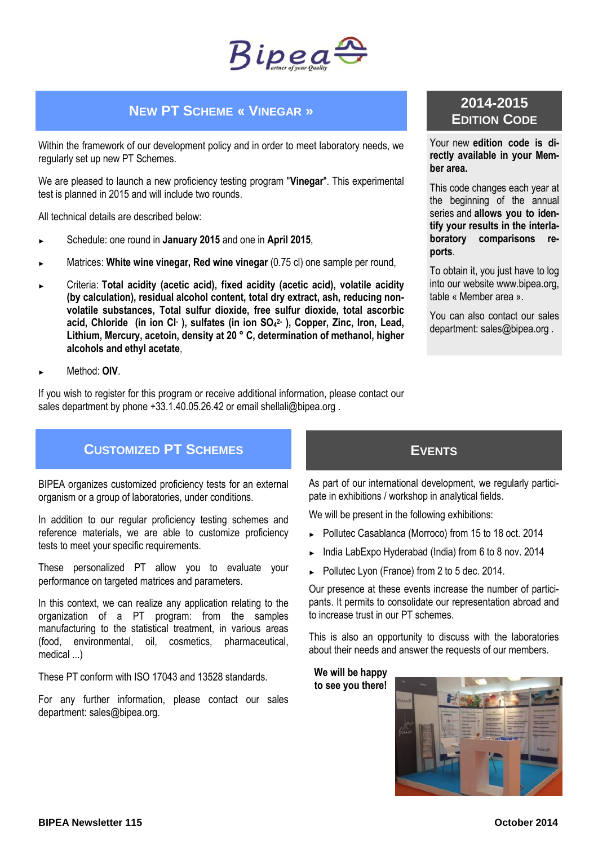

### **NEW PT SCHEME « VINEGAR »**

Within the framework of our development policy and in order to meet laboratory needs, we regularly set up new PT Schemes.

We are pleased to launch a new proficiency testing program "**Vinegar**". This experimental test is planned in 2015 and will include two rounds.

All technical details are described below:

- ► Schedule: one round in **January 2015** and one in **April 2015**,
- Matrices: White wine vinegar, Red wine vinegar  $(0.75 \text{ cl})$  one sample per round,
- ► Criteria: **Total acidity (acetic acid), fixed acidity (acetic acid), volatile acidity (by calculation), residual alcohol content, total dry extract, ash, reducing nonvolatile substances, Total sulfur dioxide, free sulfur dioxide, total ascorbic acid, Chloride (in ion Cl- ), sulfates (in ion SO<sup>4</sup> 2- ), Copper, Zinc, Iron, Lead, Lithium, Mercury, acetoin, density at 20 ° C, determination of methanol, higher alcohols and ethyl acetate**,
- ► Method: **OIV**.

If you wish to register for this program or receive additional information, please contact our sales department by phone +33.1.40.05.26.42 or email shellali@bipea.org.

# **2014-2015 EDITION CODE**

Your new **edition code is directly available in your Member area.** 

This code changes each year at the beginning of the annual series and **allows you to identify your results in the interlaboratory comparisons reports**.

To obtain it, you just have to log into our website www.bipea.org, table « Member area ».

You can also contact our sales department: sales@bipea.org .

### **CUSTOMIZED PT SCHEMES**

BIPEA organizes customized proficiency tests for an external organism or a group of laboratories, under conditions.

In addition to our regular proficiency testing schemes and reference materials, we are able to customize proficiency tests to meet your specific requirements.

These personalized PT allow you to evaluate your performance on targeted matrices and parameters.

In this context, we can realize any application relating to the organization of a PT program: from the samples manufacturing to the statistical treatment, in various areas (food, environmental, oil, cosmetics, pharmaceutical, medical ...)

These PT conform with ISO 17043 and 13528 standards.

For any further information, please contact our sales department: sales@bipea.org.

**EVENTS**

As part of our international development, we regularly participate in exhibitions / workshop in analytical fields.

We will be present in the following exhibitions:

- ► Pollutec Casablanca (Morroco) from 15 to 18 oct. 2014
- India LabExpo Hyderabad (India) from 6 to 8 nov. 2014
- Pollutec Lyon (France) from 2 to 5 dec. 2014.

Our presence at these events increase the number of participants. It permits to consolidate our representation abroad and to increase trust in our PT schemes.

This is also an opportunity to discuss with the laboratories about their needs and answer the requests of our members.

**We will be happy to see you there!**

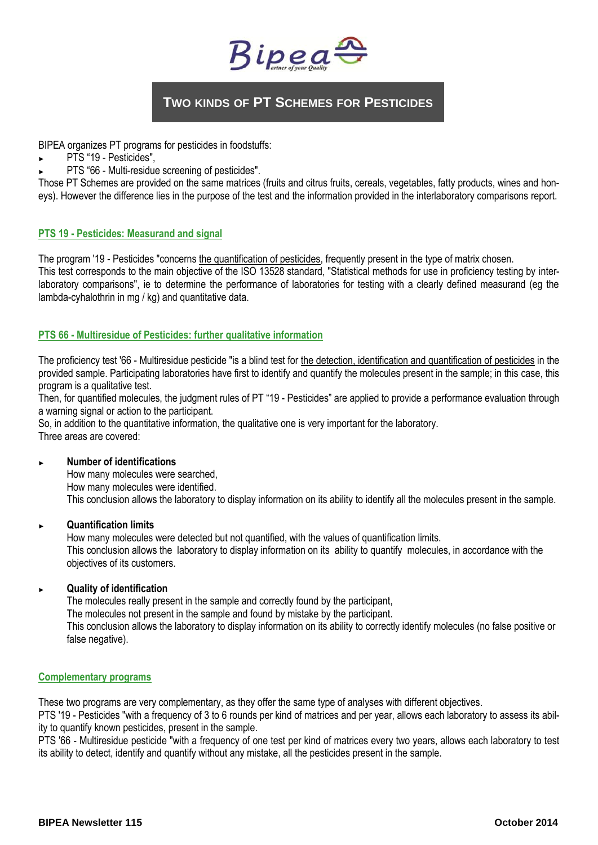

# **TWO KINDS OF PT SCHEMES FOR PESTICIDES**

BIPEA organizes PT programs for pesticides in foodstuffs:

- PTS "19 Pesticides",
- PTS "66 Multi-residue screening of pesticides".

Those PT Schemes are provided on the same matrices (fruits and citrus fruits, cereals, vegetables, fatty products, wines and honeys). However the difference lies in the purpose of the test and the information provided in the interlaboratory comparisons report.

### **PTS 19 - Pesticides: Measurand and signal**

The program '19 - Pesticides "concerns the quantification of pesticides, frequently present in the type of matrix chosen.

This test corresponds to the main objective of the ISO 13528 standard, "Statistical methods for use in proficiency testing by interlaboratory comparisons", ie to determine the performance of laboratories for testing with a clearly defined measurand (eg the lambda-cyhalothrin in mg / kg) and quantitative data.

### **PTS 66 - Multiresidue of Pesticides: further qualitative information**

The proficiency test '66 - Multiresidue pesticide "is a blind test for the detection, identification and quantification of pesticides in the provided sample. Participating laboratories have first to identify and quantify the molecules present in the sample; in this case, this program is a qualitative test.

Then, for quantified molecules, the judgment rules of PT "19 - Pesticides" are applied to provide a performance evaluation through a warning signal or action to the participant.

So, in addition to the quantitative information, the qualitative one is very important for the laboratory.

Three areas are covered:

#### ► **Number of identifications**

How many molecules were searched,

How many molecules were identified.

This conclusion allows the laboratory to display information on its ability to identify all the molecules present in the sample.

#### ► **Quantification limits**

How many molecules were detected but not quantified, with the values of quantification limits. This conclusion allows the laboratory to display information on its ability to quantify molecules, in accordance with the objectives of its customers.

#### ► **Quality of identification**

The molecules really present in the sample and correctly found by the participant, The molecules not present in the sample and found by mistake by the participant. This conclusion allows the laboratory to display information on its ability to correctly identify molecules (no false positive or false negative).

#### **Complementary programs**

These two programs are very complementary, as they offer the same type of analyses with different objectives.

PTS '19 - Pesticides "with a frequency of 3 to 6 rounds per kind of matrices and per year, allows each laboratory to assess its ability to quantify known pesticides, present in the sample.

PTS '66 - Multiresidue pesticide "with a frequency of one test per kind of matrices every two years, allows each laboratory to test its ability to detect, identify and quantify without any mistake, all the pesticides present in the sample.